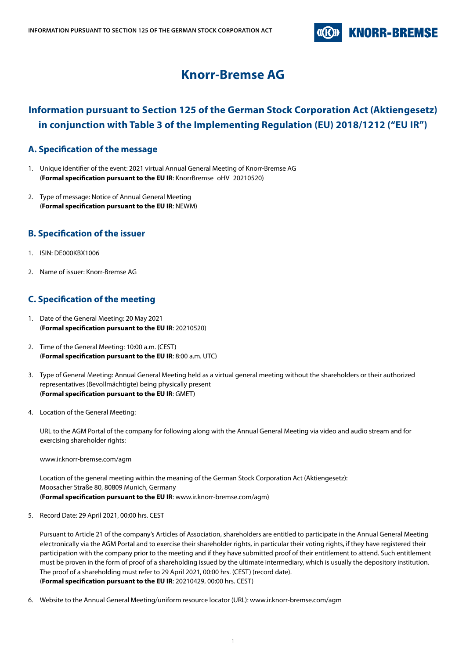

# **Knorr-Bremse AG**

## **Information pursuant to Section 125 of the German Stock Corporation Act (Aktiengesetz) in conjunction with Table 3 of the Implementing Regulation (EU) 2018/1212 ("EU IR")**

### **A. Specification of the message**

- 1. Unique identifier of the event: 2021 virtual Annual General Meeting of Knorr-Bremse AG (**Formal specification pursuant to the EU IR**: KnorrBremse\_oHV\_20210520)
- 2. Type of message: Notice of Annual General Meeting (**Formal specification pursuant to the EU IR**: NEWM)

### **B. Specification of the issuer**

- 1. ISIN: DE000KBX1006
- 2. Name of issuer: Knorr-Bremse AG

### **C. Specification of the meeting**

- 1. Date of the General Meeting: 20 May 2021 (**Formal specification pursuant to the EU IR**: 20210520)
- 2. Time of the General Meeting: 10:00 a.m. (CEST) (**Formal specification pursuant to the EU IR**: 8:00 a.m. UTC)
- 3. Type of General Meeting: Annual General Meeting held as a virtual general meeting without the shareholders or their authorized representatives (Bevollmächtigte) being physically present (**Formal specification pursuant to the EU IR**: GMET)
- 4. Location of the General Meeting:

URL to the AGM Portal of the company for following along with the Annual General Meeting via video and audio stream and for exercising shareholder rights:

www.ir.knorr-bremse.com/agm

Location of the general meeting within the meaning of the German Stock Corporation Act (Aktiengesetz): Moosacher Straße 80, 80809 Munich, Germany (**Formal specification pursuant to the EU IR**: www.ir.knorr-bremse.com/agm)

5. Record Date: 29 April 2021, 00:00 hrs. CEST

Pursuant to Article 21 of the company's Articles of Association, shareholders are entitled to participate in the Annual General Meeting electronically via the AGM Portal and to exercise their shareholder rights, in particular their voting rights, if they have registered their participation with the company prior to the meeting and if they have submitted proof of their entitlement to attend. Such entitlement must be proven in the form of proof of a shareholding issued by the ultimate intermediary, which is usually the depository institution. The proof of a shareholding must refer to 29 April 2021, 00:00 hrs. (CEST) (record date). (**Formal specification pursuant to the EU IR**: 20210429, 00:00 hrs. CEST)

6. Website to the Annual General Meeting/uniform resource locator (URL): www.ir.knorr-bremse.com/agm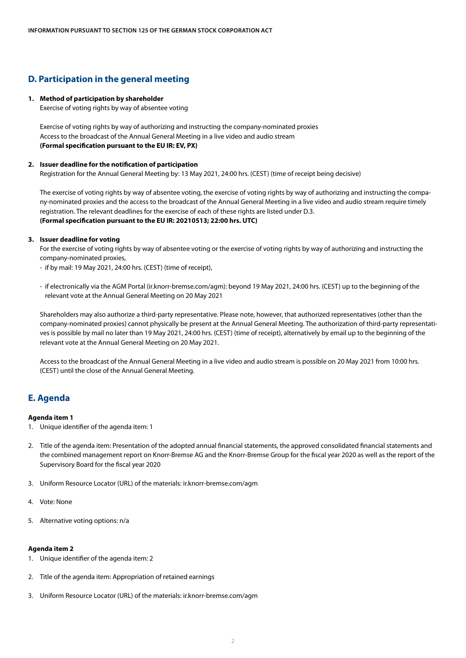### **D. Participation in the general meeting**

#### **1. Method of participation by shareholder**

Exercise of voting rights by way of absentee voting

Exercise of voting rights by way of authorizing and instructing the company-nominated proxies Access to the broadcast of the Annual General Meeting in a live video and audio stream **(Formal specification pursuant to the EU IR: EV, PX)**

#### **2. Issuer deadline for the notification of participation**

Registration for the Annual General Meeting by: 13 May 2021, 24:00 hrs. (CEST) (time of receipt being decisive)

 The exercise of voting rights by way of absentee voting, the exercise of voting rights by way of authorizing and instructing the company-nominated proxies and the access to the broadcast of the Annual General Meeting in a live video and audio stream require timely registration. The relevant deadlines for the exercise of each of these rights are listed under D.3. **(Formal specification pursuant to the EU IR: 20210513; 22:00 hrs. UTC)**

#### **3. Issuer deadline for voting**

 For the exercise of voting rights by way of absentee voting or the exercise of voting rights by way of authorizing and instructing the company-nominated proxies,

- if by mail: 19 May 2021, 24:00 hrs. (CEST) (time of receipt),
- if electronically via the AGM Portal (ir.knorr-bremse.com/agm): beyond 19 May 2021, 24:00 hrs. (CEST) up to the beginning of the relevant vote at the Annual General Meeting on 20 May 2021

 Shareholders may also authorize a third-party representative. Please note, however, that authorized representatives (other than the company-nominated proxies) cannot physically be present at the Annual General Meeting. The authorization of third-party representatives is possible by mail no later than 19 May 2021, 24:00 hrs. (CEST) (time of receipt), alternatively by email up to the beginning of the relevant vote at the Annual General Meeting on 20 May 2021.

 Access to the broadcast of the Annual General Meeting in a live video and audio stream is possible on 20 May 2021 from 10:00 hrs. (CEST) until the close of the Annual General Meeting.

### **E. Agenda**

#### **Agenda item 1**

- 1. Unique identifier of the agenda item: 1
- 2. Title of the agenda item: Presentation of the adopted annual financial statements, the approved consolidated financial statements and the combined management report on Knorr-Bremse AG and the Knorr-Bremse Group for the fiscal year 2020 as well as the report of the Supervisory Board for the fiscal year 2020
- 3. Uniform Resource Locator (URL) of the materials: ir.knorr-bremse.com/agm
- 4. Vote: None
- 5. Alternative voting options: n/a

#### **Agenda item 2**

- 1. Unique identifier of the agenda item: 2
- 2. Title of the agenda item: Appropriation of retained earnings
- 3. Uniform Resource Locator (URL) of the materials: ir.knorr-bremse.com/agm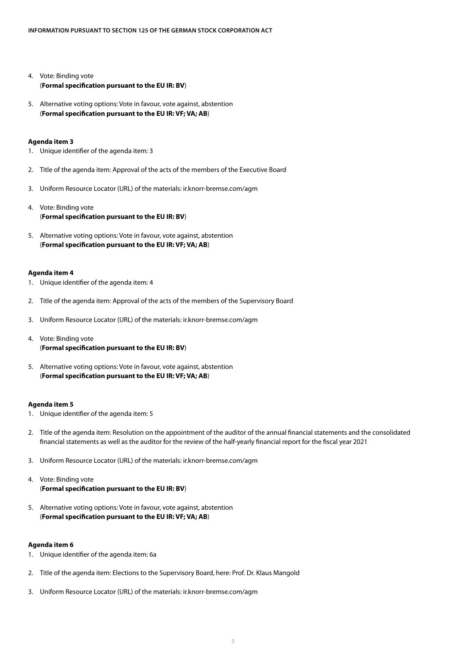- 4. Vote: Binding vote (**Formal specification pursuant to the EU IR: BV**)
- 5. Alternative voting options: Vote in favour, vote against, abstention (**Formal specification pursuant to the EU IR: VF; VA; AB**)

#### **Agenda item 3**

- 1. Unique identifier of the agenda item: 3
- 2. Title of the agenda item: Approval of the acts of the members of the Executive Board
- 3. Uniform Resource Locator (URL) of the materials: ir.knorr-bremse.com/agm
- 4. Vote: Binding vote (**Formal specification pursuant to the EU IR: BV**)
- 5. Alternative voting options: Vote in favour, vote against, abstention (**Formal specification pursuant to the EU IR: VF; VA; AB**)

#### **Agenda item 4**

- 1. Unique identifier of the agenda item: 4
- 2. Title of the agenda item: Approval of the acts of the members of the Supervisory Board
- 3. Uniform Resource Locator (URL) of the materials: ir.knorr-bremse.com/agm
- 4. Vote: Binding vote (**Formal specification pursuant to the EU IR: BV**)
- 5. Alternative voting options: Vote in favour, vote against, abstention (**Formal specification pursuant to the EU IR: VF; VA; AB**)

#### **Agenda item 5**

- 1. Unique identifier of the agenda item: 5
- 2. Title of the agenda item: Resolution on the appointment of the auditor of the annual financial statements and the consolidated financial statements as well as the auditor for the review of the half-yearly financial report for the fiscal year 2021
- 3. Uniform Resource Locator (URL) of the materials: ir.knorr-bremse.com/agm
- 4. Vote: Binding vote (**Formal specification pursuant to the EU IR: BV**)
- 5. Alternative voting options: Vote in favour, vote against, abstention (**Formal specification pursuant to the EU IR: VF; VA; AB**)

#### **Agenda item 6**

- 1. Unique identifier of the agenda item: 6a
- 2. Title of the agenda item: Elections to the Supervisory Board, here: Prof. Dr. Klaus Mangold
- 3. Uniform Resource Locator (URL) of the materials: ir.knorr-bremse.com/agm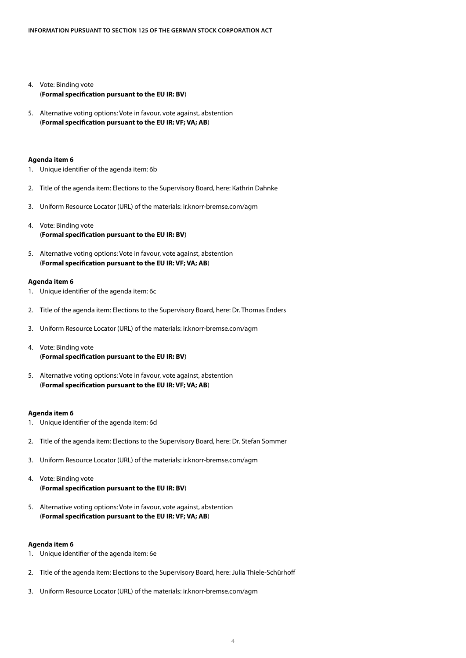- 4. Vote: Binding vote (**Formal specification pursuant to the EU IR: BV**)
- 5. Alternative voting options: Vote in favour, vote against, abstention (**Formal specification pursuant to the EU IR: VF; VA; AB**)

#### **Agenda item 6**

- 1. Unique identifier of the agenda item: 6b
- 2. Title of the agenda item: Elections to the Supervisory Board, here: Kathrin Dahnke
- 3. Uniform Resource Locator (URL) of the materials: ir.knorr-bremse.com/agm
- 4. Vote: Binding vote (**Formal specification pursuant to the EU IR: BV**)
- 5. Alternative voting options: Vote in favour, vote against, abstention (**Formal specification pursuant to the EU IR: VF; VA; AB**)

#### **Agenda item 6**

- 1. Unique identifier of the agenda item: 6c
- 2. Title of the agenda item: Elections to the Supervisory Board, here: Dr. Thomas Enders
- 3. Uniform Resource Locator (URL) of the materials: ir.knorr-bremse.com/agm
- 4. Vote: Binding vote (**Formal specification pursuant to the EU IR: BV**)
- 5. Alternative voting options: Vote in favour, vote against, abstention (**Formal specification pursuant to the EU IR: VF; VA; AB**)

#### **Agenda item 6**

- 1. Unique identifier of the agenda item: 6d
- 2. Title of the agenda item: Elections to the Supervisory Board, here: Dr. Stefan Sommer
- 3. Uniform Resource Locator (URL) of the materials: ir.knorr-bremse.com/agm
- 4. Vote: Binding vote (**Formal specification pursuant to the EU IR: BV**)
- 5. Alternative voting options: Vote in favour, vote against, abstention (**Formal specification pursuant to the EU IR: VF; VA; AB**)

#### **Agenda item 6**

- 1. Unique identifier of the agenda item: 6e
- 2. Title of the agenda item: Elections to the Supervisory Board, here: Julia Thiele-Schürhoff
- 3. Uniform Resource Locator (URL) of the materials: ir.knorr-bremse.com/agm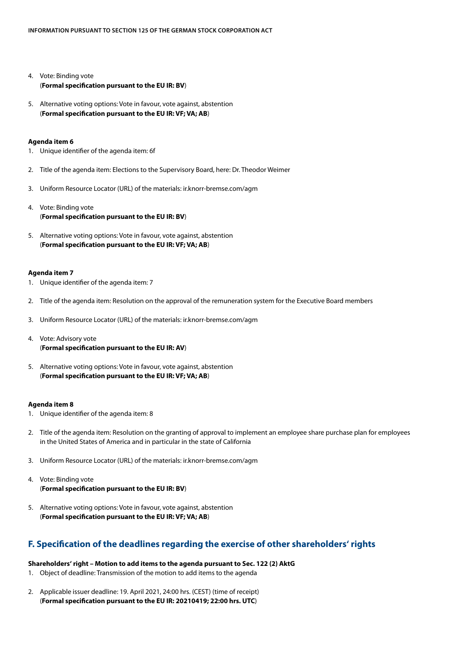- 4. Vote: Binding vote (**Formal specification pursuant to the EU IR: BV**)
- 5. Alternative voting options: Vote in favour, vote against, abstention (**Formal specification pursuant to the EU IR: VF; VA; AB**)

#### **Agenda item 6**

- 1. Unique identifier of the agenda item: 6f
- 2. Title of the agenda item: Elections to the Supervisory Board, here: Dr. Theodor Weimer
- 3. Uniform Resource Locator (URL) of the materials: ir.knorr-bremse.com/agm
- 4. Vote: Binding vote (**Formal specification pursuant to the EU IR: BV**)
- 5. Alternative voting options: Vote in favour, vote against, abstention (**Formal specification pursuant to the EU IR: VF; VA; AB**)

#### **Agenda item 7**

- 1. Unique identifier of the agenda item: 7
- 2. Title of the agenda item: Resolution on the approval of the remuneration system for the Executive Board members
- 3. Uniform Resource Locator (URL) of the materials: ir.knorr-bremse.com/agm
- 4. Vote: Advisory vote (**Formal specification pursuant to the EU IR: AV**)
- 5. Alternative voting options: Vote in favour, vote against, abstention (**Formal specification pursuant to the EU IR: VF; VA; AB**)

#### **Agenda item 8**

- 1. Unique identifier of the agenda item: 8
- 2. Title of the agenda item: Resolution on the granting of approval to implement an employee share purchase plan for employees in the United States of America and in particular in the state of California
- 3. Uniform Resource Locator (URL) of the materials: ir.knorr-bremse.com/agm
- 4. Vote: Binding vote (**Formal specification pursuant to the EU IR: BV**)
- 5. Alternative voting options: Vote in favour, vote against, abstention (**Formal specification pursuant to the EU IR: VF; VA; AB**)

### **F. Specification of the deadlines regarding the exercise of other shareholders' rights**

#### **Shareholders' right – Motion to add items to the agenda pursuant to Sec. 122 (2) AktG**

- 1. Object of deadline: Transmission of the motion to add items to the agenda
- 2. Applicable issuer deadline: 19. April 2021, 24:00 hrs. (CEST) (time of receipt) (**Formal specification pursuant to the EU IR: 20210419; 22:00 hrs. UTC**)